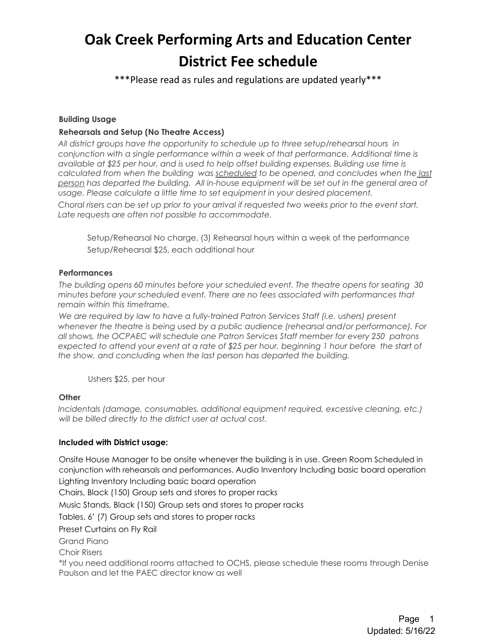# **Oak Creek Performing Arts and Education Center District Fee schedule**

\*\*\*Please read as rules and regulations are updated yearly\*\*\*

### **Building Usage**

#### **Rehearsals and Setup (No Theatre Access)**

*All district groups have the opportunity to schedule up to three setup/rehearsal hours in conjunction with a single performance within a week of that performance. Additional time is available at \$25 per hour, and is used to help offset building expenses. Building use time is calculated from when the building was scheduled to be opened, and concludes when the last person has departed the building. All in-house equipment will be set out in the general area of usage. Please calculate a little time to set equipment in your desired placement.* Choral risers can be set up prior to your arrival if requested two weeks prior to the event start. *Late requests are often not possible to accommodate.*

Setup/Rehearsal No charge, (3) Rehearsal hours within a week of the performance Setup/Rehearsal \$25, each additional hour

#### **Performances**

*The building opens 60 minutes before your scheduled event. The theatre opens for seating 30 minutes before your scheduled event. There are no fees associated with performances that remain within this timeframe.*

*We are required by law to have a fully-trained Patron Services Staff (i.e. ushers) present whenever the theatre is being used by a public audience (rehearsal and/or performance). For all shows, the OCPAEC will schedule one Patron Services Staff member for every 250 patrons* expected to attend your event at a rate of \$25 per hour, beginning 1 hour before the start of *the show, and concluding when the last person has departed the building.*

Ushers \$25, per hour

#### **Other**

*Incidentals (damage, consumables, additional equipment required, excessive cleaning, etc.) will be billed directly to the district user at actual cost.*

#### **Included with District usage:**

Onsite House Manager to be onsite whenever the building is in use. Green Room Scheduled in conjunction with rehearsals and performances. Audio Inventory Including basic board operation Lighting Inventory Including basic board operation Chairs, Black (150) Group sets and stores to proper racks Music Stands, Black (150) Group sets and stores to proper racks Tables, 6' (7) Group sets and stores to proper racks Preset Curtains on Fly Rail Grand Piano Choir Risers \*If you need additional rooms attached to OCHS, please schedule these rooms through Denise Paulson and let the PAEC director know as well